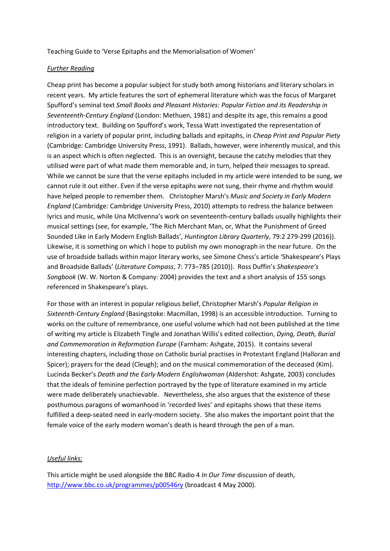Teaching Guide to 'Verse Epitaphs and the Memorialisation of Women'

## *Further Reading*

Cheap print has become a popular subject for study both among historians and literary scholars in recent years. My article features the sort of ephemeral literature which was the focus of Margaret Spufford's seminal text *Small Books and Pleasant Histories: Popular Fiction and its Readership in Seventeenth-Century England* (London: Methuen, 1981) and despite its age, this remains a good introductory text. Building on Spufford's work, Tessa Watt investigated the representation of religion in a variety of popular print, including ballads and epitaphs, in *Cheap Print and Popular Piety* (Cambridge: Cambridge University Press, 1991). Ballads, however, were inherently musical, and this is an aspect which is often neglected. This is an oversight, because the catchy melodies that they utilised were part of what made them memorable and, in turn, helped their messages to spread. While we cannot be sure that the verse epitaphs included in my article were intended to be sung, we cannot rule it out either. Even if the verse epitaphs were not sung, their rhyme and rhythm would have helped people to remember them. Christopher Marsh's *Music and Society in Early Modern England* (Cambridge: Cambridge University Press, 2010) attempts to redress the balance between lyrics and music, while Una McIlvenna's work on seventeenth-century ballads usually highlights their musical settings (see, for example, 'The Rich Merchant Man, or, What the Punishment of Greed Sounded Like in Early Modern English Ballads', *Huntington Library Quarterly*, 79:2 279-299 (2016)). Likewise, it is something on which I hope to publish my own monograph in the near future. On the use of broadside ballads within major literary works, see Simone Chess's article 'Shakespeare's Plays and Broadside Ballads' (*Literature Compass*, 7: 773–785 (2010)). Ross Duffin's *Shakespeare's Songbook* (W. W. Norton & Company: 2004) provides the text and a short analysis of 155 songs referenced in Shakespeare's plays.

For those with an interest in popular religious belief, Christopher Marsh's *Popular Religion in Sixteenth-Century England* (Basingstoke: Macmillan, 1998) is an accessible introduction. Turning to works on the culture of remembrance, one useful volume which had not been published at the time of writing my article is Elizabeth Tingle and Jonathan Willis's edited collection, *Dying, Death, Burial and Commemoration in Reformation Europe* (Farnham: Ashgate, 2015). It contains several interesting chapters, including those on Catholic burial practises in Protestant England (Halloran and Spicer); prayers for the dead (Cleugh); and on the musical commemoration of the deceased (Kim). Lucinda Becker's *Death and the Early Modern Englishwoman* (Aldershot: Ashgate, 2003) concludes that the ideals of feminine perfection portrayed by the type of literature examined in my article were made deliberately unachievable. Nevertheless, she also argues that the existence of these posthumous paragons of womanhood in 'recorded lives' and epitaphs shows that these items fulfilled a deep-seated need in early-modern society. She also makes the important point that the female voice of the early modern woman's death is heard through the pen of a man.

## *Useful links:*

This article might be used alongside the BBC Radio 4 *In Our Time* discussion of death, <http://www.bbc.co.uk/programmes/p00546ry> (broadcast 4 May 2000).